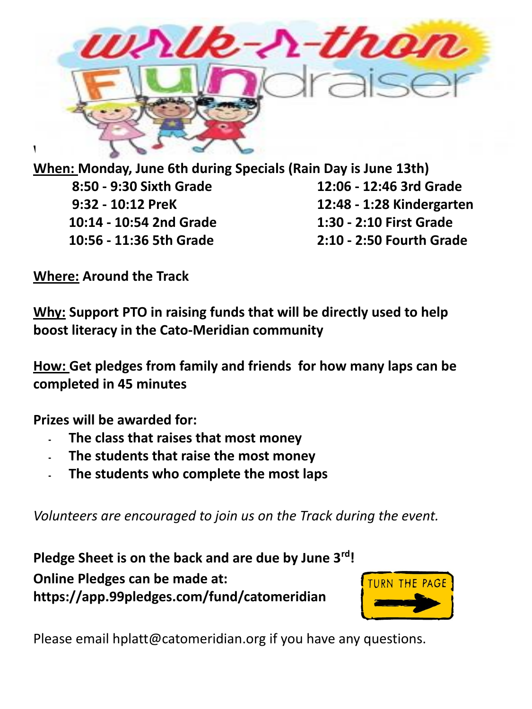

**When: Monday, June 6th during Specials (Rain Day is June 13th) 8:50 - 9:30 Sixth Grade 12:06 - 12:46 3rd Grade 9:32 - 10:12 PreK 12:48 - 1:28 Kindergarten 10:14 - 10:54 2nd Grade 1:30 - 2:10 First Grade 10:56 - 11:36 5th Grade 2:10 - 2:50 Fourth Grade**

**Where: Around the Track**

**Why: Support PTO in raising funds that will be directly used to help boost literacy in the Cato-Meridian community**

**How: Get pledges from family and friends for how many laps can be completed in 45 minutes** 

**Prizes will be awarded for:**

- **- The class that raises that most money**
- **- The students that raise the most money**
- **- The students who complete the most laps**

*Volunteers are encouraged to join us on the Track during the event.* 

**Pledge Sheet is on the back and are due by June 3rd! Online Pledges can be made at: https://app.99pledges.com/fund/catomeridian** 



Please email hplatt@catomeridian.org if you have any questions.